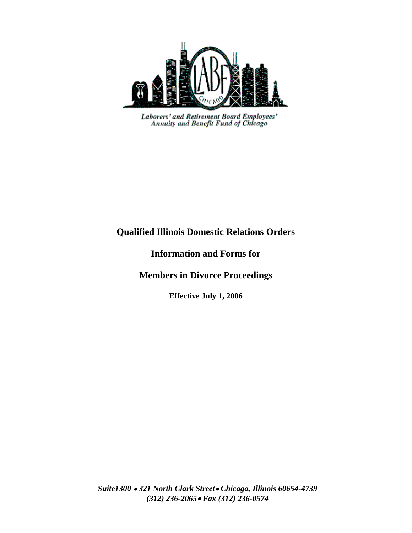

Laborers' and Retirement Board Employees'<br>Annuity and Benefit Fund of Chicago

### **Qualified Illinois Domestic Relations Orders**

**Information and Forms for** 

**Members in Divorce Proceedings**

**Effective July 1, 2006**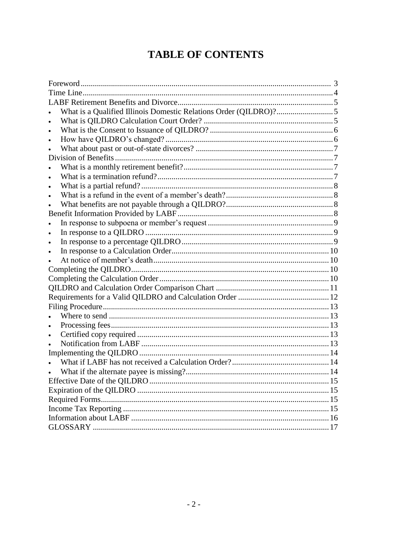# **TABLE OF CONTENTS**

| What is a Qualified Illinois Domestic Relations Order (QILDRO)?5 |  |  |  |
|------------------------------------------------------------------|--|--|--|
|                                                                  |  |  |  |
|                                                                  |  |  |  |
|                                                                  |  |  |  |
|                                                                  |  |  |  |
|                                                                  |  |  |  |
|                                                                  |  |  |  |
|                                                                  |  |  |  |
|                                                                  |  |  |  |
|                                                                  |  |  |  |
|                                                                  |  |  |  |
|                                                                  |  |  |  |
|                                                                  |  |  |  |
|                                                                  |  |  |  |
|                                                                  |  |  |  |
|                                                                  |  |  |  |
|                                                                  |  |  |  |
|                                                                  |  |  |  |
|                                                                  |  |  |  |
|                                                                  |  |  |  |
|                                                                  |  |  |  |
|                                                                  |  |  |  |
|                                                                  |  |  |  |
| $\bullet$                                                        |  |  |  |
| $\bullet$                                                        |  |  |  |
|                                                                  |  |  |  |
|                                                                  |  |  |  |
|                                                                  |  |  |  |
|                                                                  |  |  |  |
|                                                                  |  |  |  |
|                                                                  |  |  |  |
|                                                                  |  |  |  |
|                                                                  |  |  |  |
|                                                                  |  |  |  |
|                                                                  |  |  |  |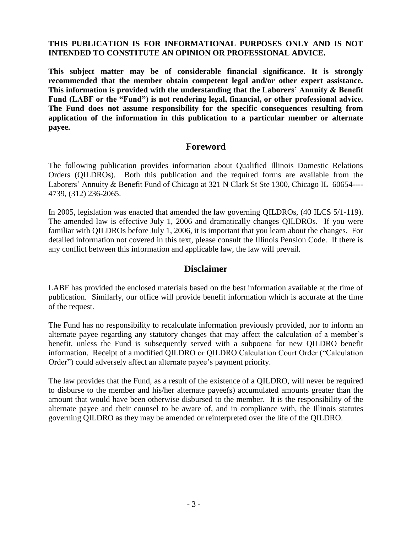#### **THIS PUBLICATION IS FOR INFORMATIONAL PURPOSES ONLY AND IS NOT INTENDED TO CONSTITUTE AN OPINION OR PROFESSIONAL ADVICE.**

**This subject matter may be of considerable financial significance. It is strongly recommended that the member obtain competent legal and/or other expert assistance. This information is provided with the understanding that the Laborers' Annuity & Benefit Fund (LABF or the "Fund") is not rendering legal, financial, or other professional advice. The Fund does not assume responsibility for the specific consequences resulting from application of the information in this publication to a particular member or alternate payee.**

#### **Foreword**

The following publication provides information about Qualified Illinois Domestic Relations Orders (QILDROs). Both this publication and the required forms are available from the Laborers' Annuity & Benefit Fund of Chicago at 321 N Clark St Ste 1300, Chicago IL 60654---- 4739, (312) 236-2065.

In 2005, legislation was enacted that amended the law governing QILDROs, (40 ILCS 5/1-119). The amended law is effective July 1, 2006 and dramatically changes QILDROs. If you were familiar with QILDROs before July 1, 2006, it is important that you learn about the changes. For detailed information not covered in this text, please consult the Illinois Pension Code. If there is any conflict between this information and applicable law, the law will prevail.

### **Disclaimer**

LABF has provided the enclosed materials based on the best information available at the time of publication. Similarly, our office will provide benefit information which is accurate at the time of the request.

The Fund has no responsibility to recalculate information previously provided, nor to inform an alternate payee regarding any statutory changes that may affect the calculation of a member's benefit, unless the Fund is subsequently served with a subpoena for new QILDRO benefit information. Receipt of a modified QILDRO or QILDRO Calculation Court Order ("Calculation Order") could adversely affect an alternate payee's payment priority.

The law provides that the Fund, as a result of the existence of a QILDRO, will never be required to disburse to the member and his/her alternate payee(s) accumulated amounts greater than the amount that would have been otherwise disbursed to the member. It is the responsibility of the alternate payee and their counsel to be aware of, and in compliance with, the Illinois statutes governing QILDRO as they may be amended or reinterpreted over the life of the QILDRO.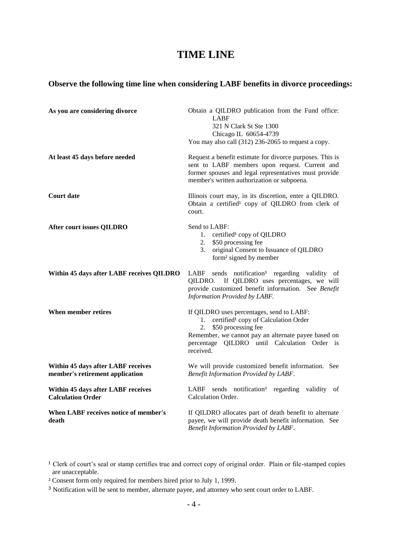## **TIME LINE**

#### **Observe the following time line when considering LABF benefits in divorce proceedings:**

| As you are considering divorce<br>At least 45 days before needed      | Obtain a QILDRO publication from the Fund office:<br>LABF<br>321 N Clark St Ste 1300<br>Chicago IL 60654-4739<br>You may also call (312) 236-2065 to request a copy.<br>Request a benefit estimate for divorce purposes. This is                  |  |
|-----------------------------------------------------------------------|---------------------------------------------------------------------------------------------------------------------------------------------------------------------------------------------------------------------------------------------------|--|
|                                                                       | sent to LABF members upon request. Current and<br>former spouses and legal representatives must provide<br>member's written authorization or subpoena.                                                                                            |  |
| <b>Court date</b>                                                     | Illinois court may, in its discretion, enter a QILDRO.<br>Obtain a certified <sup>1</sup> copy of QILDRO from clerk of<br>court.                                                                                                                  |  |
| <b>After court issues QILDRO</b>                                      | Send to LABF:<br>1. certified <sup>1</sup> copy of QILDRO<br>\$50 processing fee<br>2.<br>original Consent to Issuance of QILDRO<br>3.<br>form <sup>2</sup> signed by member                                                                      |  |
| Within 45 days after LABF receives QILDRO                             | LABF sends notification <sup>3</sup> regarding validity of<br>If QILDRO uses percentages, we will<br>QILDRO.<br>provide customized benefit information. See Benefit<br>Information Provided by LABF.                                              |  |
| When member retires                                                   | If QILDRO uses percentages, send to LABF:<br>1. certified <sup>1</sup> copy of Calculation Order<br>\$50 processing fee<br>2.<br>Remember, we cannot pay an alternate payee based on<br>percentage QILDRO until Calculation Order is<br>received. |  |
| Within 45 days after LABF receives<br>member's retirement application | We will provide customized benefit information. See<br>Benefit Information Provided by LABF.                                                                                                                                                      |  |
| Within 45 days after LABF receives<br><b>Calculation Order</b>        | LABF<br>sends notification <sup>3</sup> regarding validity of<br>Calculation Order.                                                                                                                                                               |  |
| When LABF receives notice of member's<br>death                        | If QILDRO allocates part of death benefit to alternate<br>payee, we will provide death benefit information. See<br>Benefit Information Provided by LABF.                                                                                          |  |

- ² Consent form only required for members hired prior to July 1, 1999.
- ³ Notification will be sent to member, alternate payee, and attorney who sent court order to LABF.

<sup>&</sup>lt;sup>1</sup> Clerk of court's seal or stamp certifies true and correct copy of original order. Plain or file-stamped copies are unacceptable.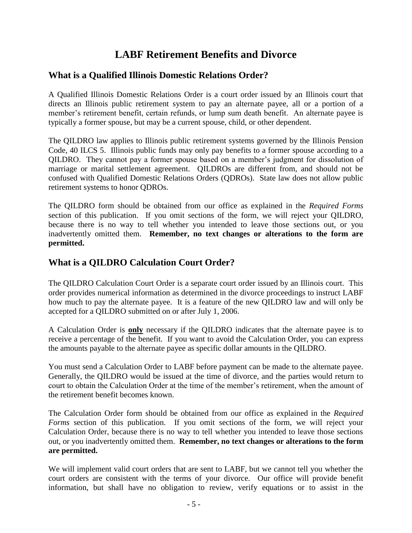# **LABF Retirement Benefits and Divorce**

### **What is a Qualified Illinois Domestic Relations Order?**

A Qualified Illinois Domestic Relations Order is a court order issued by an Illinois court that directs an Illinois public retirement system to pay an alternate payee, all or a portion of a member's retirement benefit, certain refunds, or lump sum death benefit. An alternate payee is typically a former spouse, but may be a current spouse, child, or other dependent.

The QILDRO law applies to Illinois public retirement systems governed by the Illinois Pension Code, 40 ILCS 5. Illinois public funds may only pay benefits to a former spouse according to a QILDRO. They cannot pay a former spouse based on a member's judgment for dissolution of marriage or marital settlement agreement. QILDROs are different from, and should not be confused with Qualified Domestic Relations Orders (QDROs). State law does not allow public retirement systems to honor QDROs.

The QILDRO form should be obtained from our office as explained in the *Required Forms* section of this publication. If you omit sections of the form, we will reject your QILDRO, because there is no way to tell whether you intended to leave those sections out, or you inadvertently omitted them. **Remember, no text changes or alterations to the form are permitted.**

### **What is a QILDRO Calculation Court Order?**

The QILDRO Calculation Court Order is a separate court order issued by an Illinois court. This order provides numerical information as determined in the divorce proceedings to instruct LABF how much to pay the alternate payee. It is a feature of the new QILDRO law and will only be accepted for a QILDRO submitted on or after July 1, 2006.

A Calculation Order is **only** necessary if the QILDRO indicates that the alternate payee is to receive a percentage of the benefit. If you want to avoid the Calculation Order, you can express the amounts payable to the alternate payee as specific dollar amounts in the QILDRO.

You must send a Calculation Order to LABF before payment can be made to the alternate payee. Generally, the QILDRO would be issued at the time of divorce, and the parties would return to court to obtain the Calculation Order at the time of the member's retirement, when the amount of the retirement benefit becomes known.

The Calculation Order form should be obtained from our office as explained in the *Required Forms* section of this publication. If you omit sections of the form, we will reject your Calculation Order, because there is no way to tell whether you intended to leave those sections out, or you inadvertently omitted them. **Remember, no text changes or alterations to the form are permitted.**

We will implement valid court orders that are sent to LABF, but we cannot tell you whether the court orders are consistent with the terms of your divorce. Our office will provide benefit information, but shall have no obligation to review, verify equations or to assist in the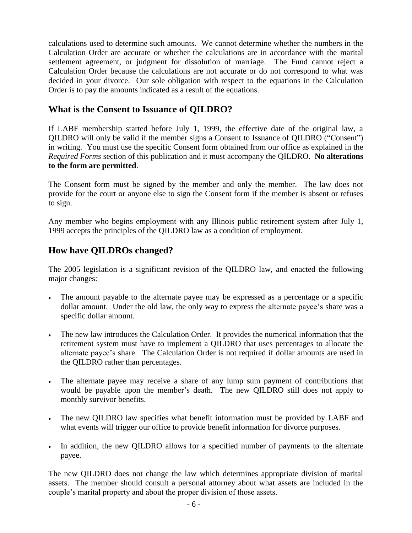calculations used to determine such amounts. We cannot determine whether the numbers in the Calculation Order are accurate or whether the calculations are in accordance with the marital settlement agreement, or judgment for dissolution of marriage. The Fund cannot reject a Calculation Order because the calculations are not accurate or do not correspond to what was decided in your divorce. Our sole obligation with respect to the equations in the Calculation Order is to pay the amounts indicated as a result of the equations.

### **What is the Consent to Issuance of QILDRO?**

If LABF membership started before July 1, 1999, the effective date of the original law, a QILDRO will only be valid if the member signs a Consent to Issuance of QILDRO ("Consent") in writing. You must use the specific Consent form obtained from our office as explained in the *Required Forms* section of this publication and it must accompany the QILDRO. **No alterations to the form are permitted**.

The Consent form must be signed by the member and only the member. The law does not provide for the court or anyone else to sign the Consent form if the member is absent or refuses to sign.

Any member who begins employment with any Illinois public retirement system after July 1, 1999 accepts the principles of the QILDRO law as a condition of employment.

### **How have QILDROs changed?**

The 2005 legislation is a significant revision of the QILDRO law, and enacted the following major changes:

- The amount payable to the alternate payee may be expressed as a percentage or a specific dollar amount. Under the old law, the only way to express the alternate payee's share was a specific dollar amount.
- The new law introduces the Calculation Order. It provides the numerical information that the retirement system must have to implement a QILDRO that uses percentages to allocate the alternate payee's share. The Calculation Order is not required if dollar amounts are used in the QILDRO rather than percentages.
- The alternate payee may receive a share of any lump sum payment of contributions that would be payable upon the member's death. The new QILDRO still does not apply to monthly survivor benefits.
- The new QILDRO law specifies what benefit information must be provided by LABF and what events will trigger our office to provide benefit information for divorce purposes.
- In addition, the new QILDRO allows for a specified number of payments to the alternate payee.

The new QILDRO does not change the law which determines appropriate division of marital assets. The member should consult a personal attorney about what assets are included in the couple's marital property and about the proper division of those assets.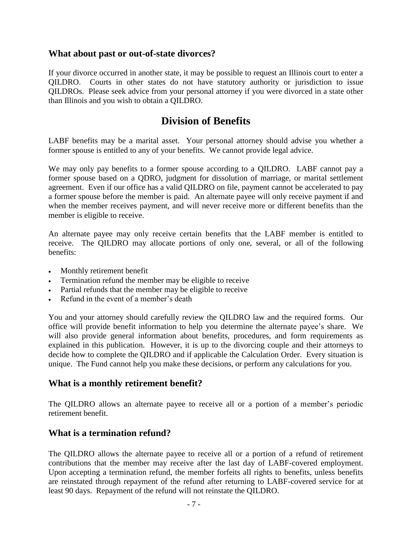### **What about past or out-of-state divorces?**

If your divorce occurred in another state, it may be possible to request an Illinois court to enter a QILDRO. Courts in other states do not have statutory authority or jurisdiction to issue QILDROs. Please seek advice from your personal attorney if you were divorced in a state other than Illinois and you wish to obtain a QILDRO.

### **Division of Benefits**

LABF benefits may be a marital asset. Your personal attorney should advise you whether a former spouse is entitled to any of your benefits. We cannot provide legal advice.

We may only pay benefits to a former spouse according to a QILDRO. LABF cannot pay a former spouse based on a QDRO, judgment for dissolution of marriage, or marital settlement agreement. Even if our office has a valid QILDRO on file, payment cannot be accelerated to pay a former spouse before the member is paid. An alternate payee will only receive payment if and when the member receives payment, and will never receive more or different benefits than the member is eligible to receive.

An alternate payee may only receive certain benefits that the LABF member is entitled to receive. The QILDRO may allocate portions of only one, several, or all of the following benefits:

- Monthly retirement benefit
- Termination refund the member may be eligible to receive
- Partial refunds that the member may be eligible to receive
- Refund in the event of a member's death

You and your attorney should carefully review the QILDRO law and the required forms. Our office will provide benefit information to help you determine the alternate payee's share. We will also provide general information about benefits, procedures, and form requirements as explained in this publication. However, it is up to the divorcing couple and their attorneys to decide how to complete the QILDRO and if applicable the Calculation Order. Every situation is unique. The Fund cannot help you make these decisions, or perform any calculations for you.

### **What is a monthly retirement benefit?**

The QILDRO allows an alternate payee to receive all or a portion of a member's periodic retirement benefit.

### **What is a termination refund?**

The QILDRO allows the alternate payee to receive all or a portion of a refund of retirement contributions that the member may receive after the last day of LABF-covered employment. Upon accepting a termination refund, the member forfeits all rights to benefits, unless benefits are reinstated through repayment of the refund after returning to LABF-covered service for at least 90 days. Repayment of the refund will not reinstate the QILDRO.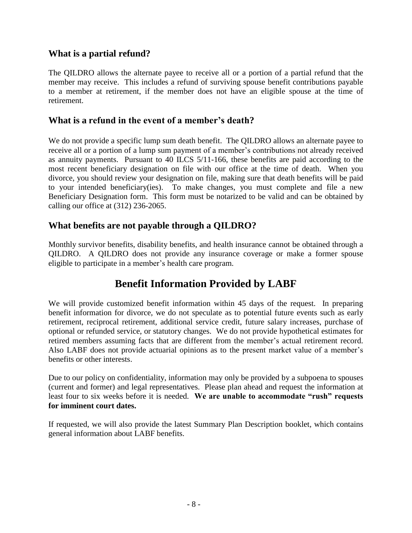### **What is a partial refund?**

The QILDRO allows the alternate payee to receive all or a portion of a partial refund that the member may receive. This includes a refund of surviving spouse benefit contributions payable to a member at retirement, if the member does not have an eligible spouse at the time of retirement.

### **What is a refund in the event of a member's death?**

We do not provide a specific lump sum death benefit. The QILDRO allows an alternate payee to receive all or a portion of a lump sum payment of a member's contributions not already received as annuity payments. Pursuant to 40 ILCS 5/11-166, these benefits are paid according to the most recent beneficiary designation on file with our office at the time of death. When you divorce, you should review your designation on file, making sure that death benefits will be paid to your intended beneficiary(ies). To make changes, you must complete and file a new Beneficiary Designation form. This form must be notarized to be valid and can be obtained by calling our office at (312) 236-2065.

### **What benefits are not payable through a QILDRO?**

Monthly survivor benefits, disability benefits, and health insurance cannot be obtained through a QILDRO. A QILDRO does not provide any insurance coverage or make a former spouse eligible to participate in a member's health care program.

# **Benefit Information Provided by LABF**

We will provide customized benefit information within 45 days of the request. In preparing benefit information for divorce, we do not speculate as to potential future events such as early retirement, reciprocal retirement, additional service credit, future salary increases, purchase of optional or refunded service, or statutory changes. We do not provide hypothetical estimates for retired members assuming facts that are different from the member's actual retirement record. Also LABF does not provide actuarial opinions as to the present market value of a member's benefits or other interests.

Due to our policy on confidentiality, information may only be provided by a subpoena to spouses (current and former) and legal representatives. Please plan ahead and request the information at least four to six weeks before it is needed. **We are unable to accommodate "rush" requests for imminent court dates.**

If requested, we will also provide the latest Summary Plan Description booklet*,* which contains general information about LABF benefits.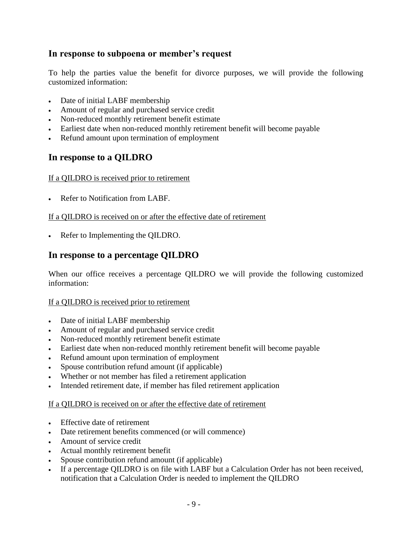### **In response to subpoena or member's request**

To help the parties value the benefit for divorce purposes, we will provide the following customized information:

- Date of initial LABF membership
- Amount of regular and purchased service credit
- Non-reduced monthly retirement benefit estimate
- Earliest date when non-reduced monthly retirement benefit will become payable
- Refund amount upon termination of employment

### **In response to a QILDRO**

#### If a QILDRO is received prior to retirement

• Refer to Notification from LABF.

#### If a QILDRO is received on or after the effective date of retirement

• Refer to Implementing the QILDRO.

### **In response to a percentage QILDRO**

When our office receives a percentage QILDRO we will provide the following customized information:

#### If a QILDRO is received prior to retirement

- Date of initial LABF membership
- Amount of regular and purchased service credit
- Non-reduced monthly retirement benefit estimate
- Earliest date when non-reduced monthly retirement benefit will become payable
- Refund amount upon termination of employment
- Spouse contribution refund amount (if applicable)
- Whether or not member has filed a retirement application
- Intended retirement date, if member has filed retirement application

#### If a QILDRO is received on or after the effective date of retirement

- Effective date of retirement
- Date retirement benefits commenced (or will commence)
- Amount of service credit
- Actual monthly retirement benefit
- Spouse contribution refund amount (if applicable)
- If a percentage QILDRO is on file with LABF but a Calculation Order has not been received, notification that a Calculation Order is needed to implement the QILDRO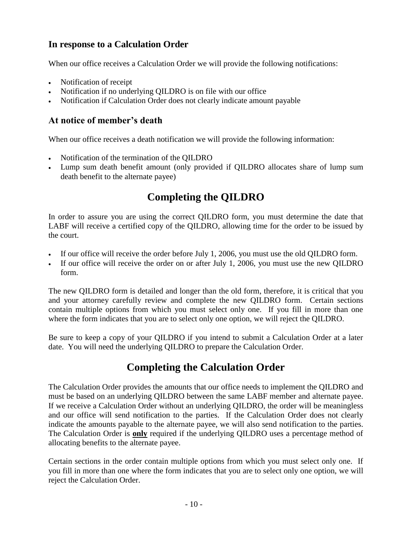### **In response to a Calculation Order**

When our office receives a Calculation Order we will provide the following notifications:

- Notification of receipt
- Notification if no underlying QILDRO is on file with our office
- Notification if Calculation Order does not clearly indicate amount payable

### **At notice of member's death**

When our office receives a death notification we will provide the following information:

- Notification of the termination of the QILDRO
- Lump sum death benefit amount (only provided if QILDRO allocates share of lump sum death benefit to the alternate payee)

# **Completing the QILDRO**

In order to assure you are using the correct QILDRO form, you must determine the date that LABF will receive a certified copy of the QILDRO, allowing time for the order to be issued by the court.

- If our office will receive the order before July 1, 2006, you must use the old QILDRO form.
- If our office will receive the order on or after July 1, 2006, you must use the new QILDRO form.

The new QILDRO form is detailed and longer than the old form, therefore, it is critical that you and your attorney carefully review and complete the new QILDRO form. Certain sections contain multiple options from which you must select only one. If you fill in more than one where the form indicates that you are to select only one option, we will reject the QILDRO.

Be sure to keep a copy of your QILDRO if you intend to submit a Calculation Order at a later date. You will need the underlying QILDRO to prepare the Calculation Order.

# **Completing the Calculation Order**

The Calculation Order provides the amounts that our office needs to implement the QILDRO and must be based on an underlying QILDRO between the same LABF member and alternate payee. If we receive a Calculation Order without an underlying QILDRO, the order will be meaningless and our office will send notification to the parties. If the Calculation Order does not clearly indicate the amounts payable to the alternate payee, we will also send notification to the parties. The Calculation Order is **only** required if the underlying QILDRO uses a percentage method of allocating benefits to the alternate payee.

Certain sections in the order contain multiple options from which you must select only one. If you fill in more than one where the form indicates that you are to select only one option, we will reject the Calculation Order.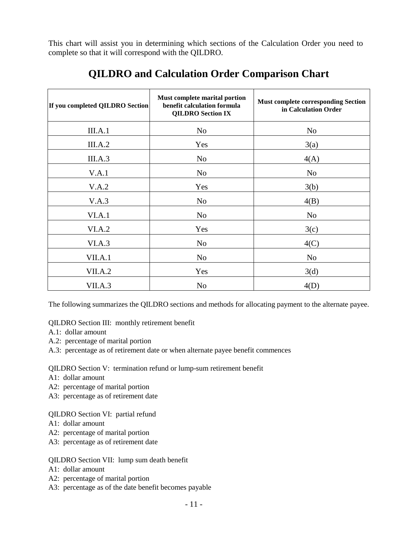This chart will assist you in determining which sections of the Calculation Order you need to complete so that it will correspond with the QILDRO.

| If you completed QILDRO Section | Must complete marital portion<br>benefit calculation formula<br><b>QILDRO</b> Section IX | <b>Must complete corresponding Section</b><br>in Calculation Order |
|---------------------------------|------------------------------------------------------------------------------------------|--------------------------------------------------------------------|
| III.A.1                         | N <sub>o</sub>                                                                           | N <sub>o</sub>                                                     |
| III.A.2                         | Yes                                                                                      | 3(a)                                                               |
| III.A.3                         | N <sub>o</sub>                                                                           | 4(A)                                                               |
| V.A.1                           | N <sub>o</sub>                                                                           | No                                                                 |
| V.A.2                           | Yes                                                                                      | 3(b)                                                               |
| V.A.3                           | N <sub>o</sub>                                                                           | 4(B)                                                               |
| VI.A.1                          | N <sub>o</sub>                                                                           | No                                                                 |
| VI.A.2                          | Yes                                                                                      | 3(c)                                                               |
| VI.A.3                          | N <sub>o</sub>                                                                           | 4(C)                                                               |
| VII.A.1                         | N <sub>o</sub>                                                                           | No                                                                 |
| VII.A.2                         | Yes                                                                                      | 3(d)                                                               |
| VII.A.3                         | N <sub>o</sub>                                                                           | 4(D)                                                               |

# **QILDRO and Calculation Order Comparison Chart**

The following summarizes the QILDRO sections and methods for allocating payment to the alternate payee.

QILDRO Section III: monthly retirement benefit

- A.1: dollar amount
- A.2: percentage of marital portion
- A.3: percentage as of retirement date or when alternate payee benefit commences

QILDRO Section V: termination refund or lump-sum retirement benefit

- A1: dollar amount
- A2: percentage of marital portion
- A3: percentage as of retirement date

#### QILDRO Section VI: partial refund

- A1: dollar amount
- A2: percentage of marital portion
- A3: percentage as of retirement date

#### QILDRO Section VII: lump sum death benefit

- A1: dollar amount
- A2: percentage of marital portion
- A3: percentage as of the date benefit becomes payable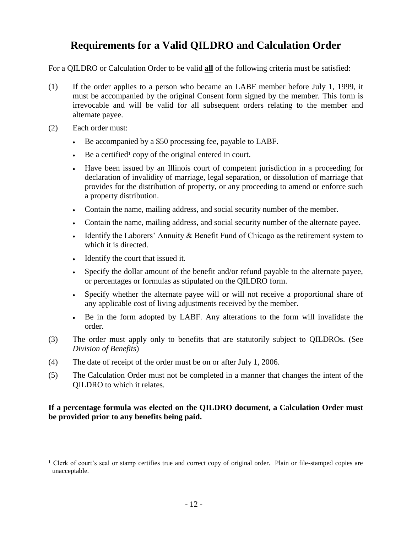# **Requirements for a Valid QILDRO and Calculation Order**

For a QILDRO or Calculation Order to be valid **all** of the following criteria must be satisfied:

- (1) If the order applies to a person who became an LABF member before July 1, 1999, it must be accompanied by the original Consent form signed by the member. This form is irrevocable and will be valid for all subsequent orders relating to the member and alternate payee.
- (2) Each order must:
	- Be accompanied by a \$50 processing fee, payable to LABF.
	- Be a certified<sup>1</sup> copy of the original entered in court.
	- Have been issued by an Illinois court of competent jurisdiction in a proceeding for declaration of invalidity of marriage, legal separation, or dissolution of marriage that provides for the distribution of property, or any proceeding to amend or enforce such a property distribution.
	- Contain the name, mailing address, and social security number of the member.
	- Contain the name, mailing address, and social security number of the alternate payee.
	- Identify the Laborers' Annuity  $&$  Benefit Fund of Chicago as the retirement system to which it is directed.
	- Identify the court that issued it.
	- Specify the dollar amount of the benefit and/or refund payable to the alternate payee, or percentages or formulas as stipulated on the QILDRO form.
	- Specify whether the alternate payee will or will not receive a proportional share of any applicable cost of living adjustments received by the member.
	- Be in the form adopted by LABF. Any alterations to the form will invalidate the order.
- (3) The order must apply only to benefits that are statutorily subject to QILDROs. (See *Division of Benefits*)
- (4) The date of receipt of the order must be on or after July 1, 2006.
- (5) The Calculation Order must not be completed in a manner that changes the intent of the QILDRO to which it relates.

#### **If a percentage formula was elected on the QILDRO document, a Calculation Order must be provided prior to any benefits being paid.**

<sup>&</sup>lt;sup>1</sup> Clerk of court's seal or stamp certifies true and correct copy of original order. Plain or file-stamped copies are unacceptable.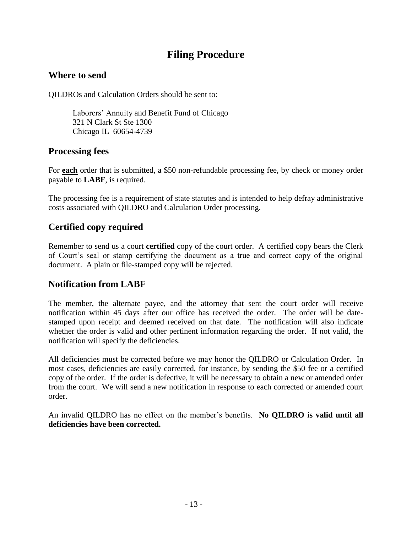# **Filing Procedure**

### **Where to send**

QILDROs and Calculation Orders should be sent to:

Laborers' Annuity and Benefit Fund of Chicago 321 N Clark St Ste 1300 Chicago IL 60654-4739

### **Processing fees**

For **each** order that is submitted, a \$50 non-refundable processing fee, by check or money order payable to **LABF**, is required.

The processing fee is a requirement of state statutes and is intended to help defray administrative costs associated with QILDRO and Calculation Order processing.

### **Certified copy required**

Remember to send us a court **certified** copy of the court order. A certified copy bears the Clerk of Court's seal or stamp certifying the document as a true and correct copy of the original document. A plain or file-stamped copy will be rejected.

### **Notification from LABF**

The member, the alternate payee, and the attorney that sent the court order will receive notification within 45 days after our office has received the order. The order will be datestamped upon receipt and deemed received on that date. The notification will also indicate whether the order is valid and other pertinent information regarding the order. If not valid, the notification will specify the deficiencies.

All deficiencies must be corrected before we may honor the QILDRO or Calculation Order. In most cases, deficiencies are easily corrected, for instance, by sending the \$50 fee or a certified copy of the order. If the order is defective, it will be necessary to obtain a new or amended order from the court. We will send a new notification in response to each corrected or amended court order.

An invalid QILDRO has no effect on the member's benefits. **No QILDRO is valid until all deficiencies have been corrected.**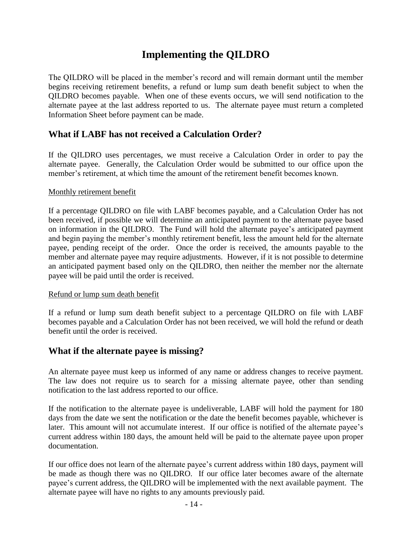# **Implementing the QILDRO**

The QILDRO will be placed in the member's record and will remain dormant until the member begins receiving retirement benefits, a refund or lump sum death benefit subject to when the QILDRO becomes payable. When one of these events occurs, we will send notification to the alternate payee at the last address reported to us. The alternate payee must return a completed Information Sheet before payment can be made.

### **What if LABF has not received a Calculation Order?**

If the QILDRO uses percentages, we must receive a Calculation Order in order to pay the alternate payee. Generally, the Calculation Order would be submitted to our office upon the member's retirement, at which time the amount of the retirement benefit becomes known.

#### Monthly retirement benefit

If a percentage QILDRO on file with LABF becomes payable, and a Calculation Order has not been received, if possible we will determine an anticipated payment to the alternate payee based on information in the QILDRO. The Fund will hold the alternate payee's anticipated payment and begin paying the member's monthly retirement benefit, less the amount held for the alternate payee, pending receipt of the order. Once the order is received, the amounts payable to the member and alternate payee may require adjustments. However, if it is not possible to determine an anticipated payment based only on the QILDRO, then neither the member nor the alternate payee will be paid until the order is received.

#### Refund or lump sum death benefit

If a refund or lump sum death benefit subject to a percentage QILDRO on file with LABF becomes payable and a Calculation Order has not been received, we will hold the refund or death benefit until the order is received.

### **What if the alternate payee is missing?**

An alternate payee must keep us informed of any name or address changes to receive payment. The law does not require us to search for a missing alternate payee, other than sending notification to the last address reported to our office.

If the notification to the alternate payee is undeliverable, LABF will hold the payment for 180 days from the date we sent the notification or the date the benefit becomes payable, whichever is later. This amount will not accumulate interest. If our office is notified of the alternate payee's current address within 180 days, the amount held will be paid to the alternate payee upon proper documentation.

If our office does not learn of the alternate payee's current address within 180 days, payment will be made as though there was no QILDRO. If our office later becomes aware of the alternate payee's current address, the QILDRO will be implemented with the next available payment. The alternate payee will have no rights to any amounts previously paid.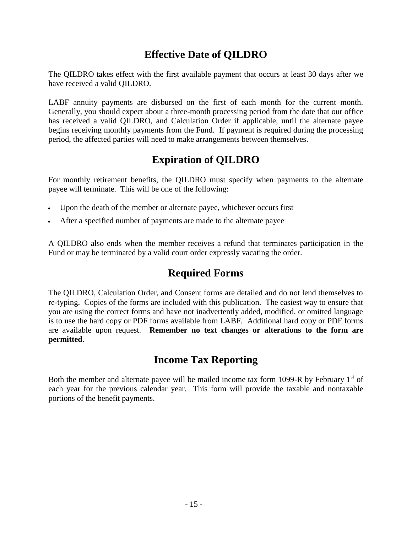# **Effective Date of QILDRO**

The QILDRO takes effect with the first available payment that occurs at least 30 days after we have received a valid QILDRO.

LABF annuity payments are disbursed on the first of each month for the current month. Generally, you should expect about a three-month processing period from the date that our office has received a valid QILDRO, and Calculation Order if applicable, until the alternate payee begins receiving monthly payments from the Fund. If payment is required during the processing period, the affected parties will need to make arrangements between themselves.

# **Expiration of QILDRO**

For monthly retirement benefits, the QILDRO must specify when payments to the alternate payee will terminate. This will be one of the following:

- Upon the death of the member or alternate payee, whichever occurs first
- After a specified number of payments are made to the alternate payee

A QILDRO also ends when the member receives a refund that terminates participation in the Fund or may be terminated by a valid court order expressly vacating the order.

# **Required Forms**

The QILDRO, Calculation Order, and Consent forms are detailed and do not lend themselves to re-typing. Copies of the forms are included with this publication. The easiest way to ensure that you are using the correct forms and have not inadvertently added, modified, or omitted language is to use the hard copy or PDF forms available from LABF. Additional hard copy or PDF forms are available upon request. **Remember no text changes or alterations to the form are permitted**.

# **Income Tax Reporting**

Both the member and alternate payee will be mailed income tax form 1099-R by February  $1<sup>st</sup>$  of each year for the previous calendar year. This form will provide the taxable and nontaxable portions of the benefit payments.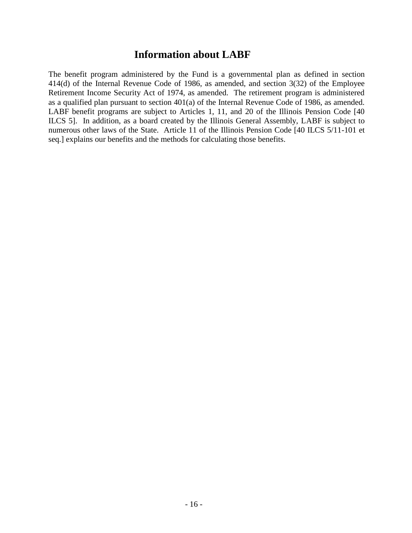### **Information about LABF**

The benefit program administered by the Fund is a governmental plan as defined in section 414(d) of the Internal Revenue Code of 1986, as amended, and section 3(32) of the Employee Retirement Income Security Act of 1974, as amended. The retirement program is administered as a qualified plan pursuant to section 401(a) of the Internal Revenue Code of 1986, as amended. LABF benefit programs are subject to Articles 1, 11, and 20 of the Illinois Pension Code [40 ILCS 5]. In addition, as a board created by the Illinois General Assembly, LABF is subject to numerous other laws of the State. Article 11 of the Illinois Pension Code [40 ILCS 5/11-101 et seq.] explains our benefits and the methods for calculating those benefits.